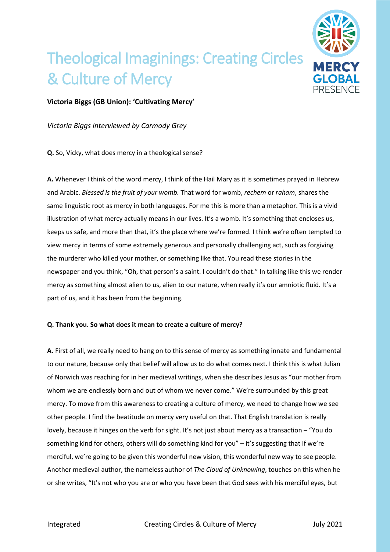## Theological Imaginings: Creating Circles & Culture of Mercy



## **Victoria Biggs (GB Union): 'Cultivating Mercy'**

*Victoria Biggs interviewed by Carmody Grey*

**Q.** So, Vicky, what does mercy in a theological sense?

**A.** Whenever I think of the word mercy, I think of the Hail Mary as it is sometimes prayed in Hebrew and Arabic. *Blessed is the fruit of your womb.* That word for womb, *rechem* or *raham*, shares the same linguistic root as mercy in both languages. For me this is more than a metaphor. This is a vivid illustration of what mercy actually means in our lives. It's a womb. It's something that encloses us, keeps us safe, and more than that, it's the place where we're formed. I think we're often tempted to view mercy in terms of some extremely generous and personally challenging act, such as forgiving the murderer who killed your mother, or something like that. You read these stories in the newspaper and you think, "Oh, that person's a saint. I couldn't do that." In talking like this we render mercy as something almost alien to us, alien to our nature, when really it's our amniotic fluid. It's a part of us, and it has been from the beginning.

## **Q. Thank you. So what does it mean to create a culture of mercy?**

**A.** First of all, we really need to hang on to this sense of mercy as something innate and fundamental to our nature, because only that belief will allow us to do what comes next. I think this is what Julian of Norwich was reaching for in her medieval writings, when she describes Jesus as "our mother from whom we are endlessly born and out of whom we never come." We're surrounded by this great mercy. To move from this awareness to creating a culture of mercy, we need to change how we see other people. I find the beatitude on mercy very useful on that. That English translation is really lovely, because it hinges on the verb for sight. It's not just about mercy as a transaction – "You do something kind for others, others will do something kind for you" – it's suggesting that if we're merciful, we're going to be given this wonderful new vision, this wonderful new way to see people. Another medieval author, the nameless author of *The Cloud of Unknowing*, touches on this when he or she writes, "It's not who you are or who you have been that God sees with his merciful eyes, but